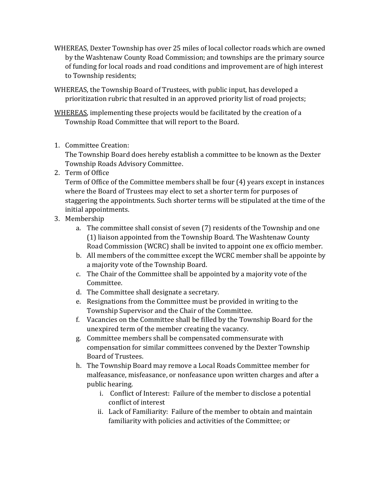- WHEREAS, Dexter Township has over 25 miles of local collector roads which are owned by the Washtenaw County Road Commission; and townships are the primary source of funding for local roads and road conditions and improvement are of high interest to Township residents;
- WHEREAS, the Township Board of Trustees, with public input, has developed a prioritization rubric that resulted in an approved priority list of road projects;

WHEREAS, implementing these projects would be facilitated by the creation of a Township Road Committee that will report to the Board.

1. Committee Creation:

The Township Board does hereby establish a committee to be known as the Dexter Township Roads Advisory Committee.

2. Term of Office

Term of Office of the Committee members shall be four (4) years except in instances where the Board of Trustees may elect to set a shorter term for purposes of staggering the appointments. Such shorter terms will be stipulated at the time of the initial appointments.

- 3. Membership
	- a. The committee shall consist of seven (7) residents of the Township and one (1) liaison appointed from the Township Board. The Washtenaw County Road Commission (WCRC) shall be invited to appoint one ex officio member.
	- b. All members of the committee except the WCRC member shall be appointe by a majority vote of the Township Board.
	- c. The Chair of the Committee shall be appointed by a majority vote of the Committee.
	- d. The Committee shall designate a secretary.
	- e. Resignations from the Committee must be provided in writing to the Township Supervisor and the Chair of the Committee.
	- f. Vacancies on the Committee shall be filled by the Township Board for the unexpired term of the member creating the vacancy.
	- g. Committee members shall be compensated commensurate with compensation for similar committees convened by the Dexter Township Board of Trustees.
	- h. The Township Board may remove a Local Roads Committee member for malfeasance, misfeasance, or nonfeasance upon written charges and after a public hearing.
		- i. Conflict of Interest: Failure of the member to disclose a potential conflict of interest
		- ii. Lack of Familiarity: Failure of the member to obtain and maintain familiarity with policies and activities of the Committee; or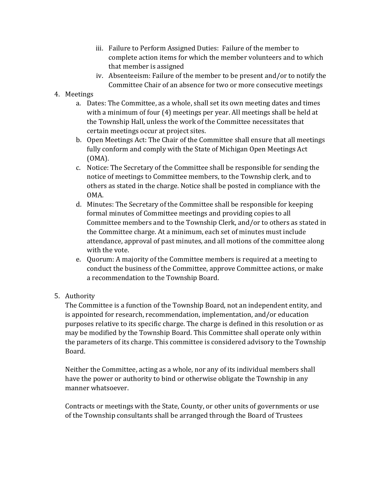- iii. Failure to Perform Assigned Duties: Failure of the member to complete action items for which the member volunteers and to which that member is assigned
- iv. Absenteeism: Failure of the member to be present and/or to notify the Committee Chair of an absence for two or more consecutive meetings

## 4. Meetings

- a. Dates: The Committee, as a whole, shall set its own meeting dates and times with a minimum of four (4) meetings per year. All meetings shall be held at the Township Hall, unless the work of the Committee necessitates that certain meetings occur at project sites.
- b. Open Meetings Act: The Chair of the Committee shall ensure that all meetings fully conform and comply with the State of Michigan Open Meetings Act (OMA).
- c. Notice: The Secretary of the Committee shall be responsible for sending the notice of meetings to Committee members, to the Township clerk, and to others as stated in the charge. Notice shall be posted in compliance with the OMA.
- d. Minutes: The Secretary of the Committee shall be responsible for keeping formal minutes of Committee meetings and providing copies to all Committee members and to the Township Clerk, and/or to others as stated in the Committee charge. At a minimum, each set of minutes must include attendance, approval of past minutes, and all motions of the committee along with the vote.
- e. Quorum: A majority of the Committee members is required at a meeting to conduct the business of the Committee, approve Committee actions, or make a recommendation to the Township Board.
- 5. Authority

The Committee is a function of the Township Board, not an independent entity, and is appointed for research, recommendation, implementation, and/or education purposes relative to its specific charge. The charge is defined in this resolution or as may be modified by the Township Board. This Committee shall operate only within the parameters of its charge. This committee is considered advisory to the Township Board.

Neither the Committee, acting as a whole, nor any of its individual members shall have the power or authority to bind or otherwise obligate the Township in any manner whatsoever.

Contracts or meetings with the State, County, or other units of governments or use of the Township consultants shall be arranged through the Board of Trustees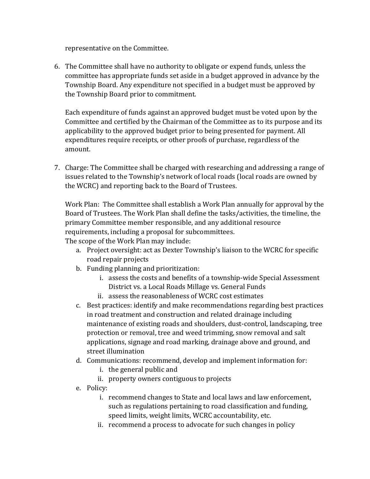representative on the Committee.

6. The Committee shall have no authority to obligate or expend funds, unless the committee has appropriate funds set aside in a budget approved in advance by the Township Board. Any expenditure not specified in a budget must be approved by the Township Board prior to commitment.

Each expenditure of funds against an approved budget must be voted upon by the Committee and certified by the Chairman of the Committee as to its purpose and its applicability to the approved budget prior to being presented for payment. All expenditures require receipts, or other proofs of purchase, regardless of the amount.

7. Charge: The Committee shall be charged with researching and addressing a range of issues related to the Township's network of local roads (local roads are owned by the WCRC) and reporting back to the Board of Trustees.

Work Plan: The Committee shall establish a Work Plan annually for approval by the Board of Trustees. The Work Plan shall define the tasks/activities, the timeline, the primary Committee member responsible, and any additional resource requirements, including a proposal for subcommittees.

The scope of the Work Plan may include:

- a. Project oversight: act as Dexter Township's liaison to the WCRC for specific road repair projects
- b. Funding planning and prioritization:
	- i. assess the costs and benefits of a township-wide Special Assessment District vs. a Local Roads Millage vs. General Funds
	- ii. assess the reasonableness of WCRC cost estimates
- c. Best practices: identify and make recommendations regarding best practices in road treatment and construction and related drainage including maintenance of existing roads and shoulders, dust-control, landscaping, tree protection or removal, tree and weed trimming, snow removal and salt applications, signage and road marking, drainage above and ground, and street illumination
- d. Communications: recommend, develop and implement information for:
	- i. the general public and
	- ii. property owners contiguous to projects
- e. Policy:
	- i. recommend changes to State and local laws and law enforcement, such as regulations pertaining to road classification and funding, speed limits, weight limits, WCRC accountability, etc.
	- ii. recommend a process to advocate for such changes in policy